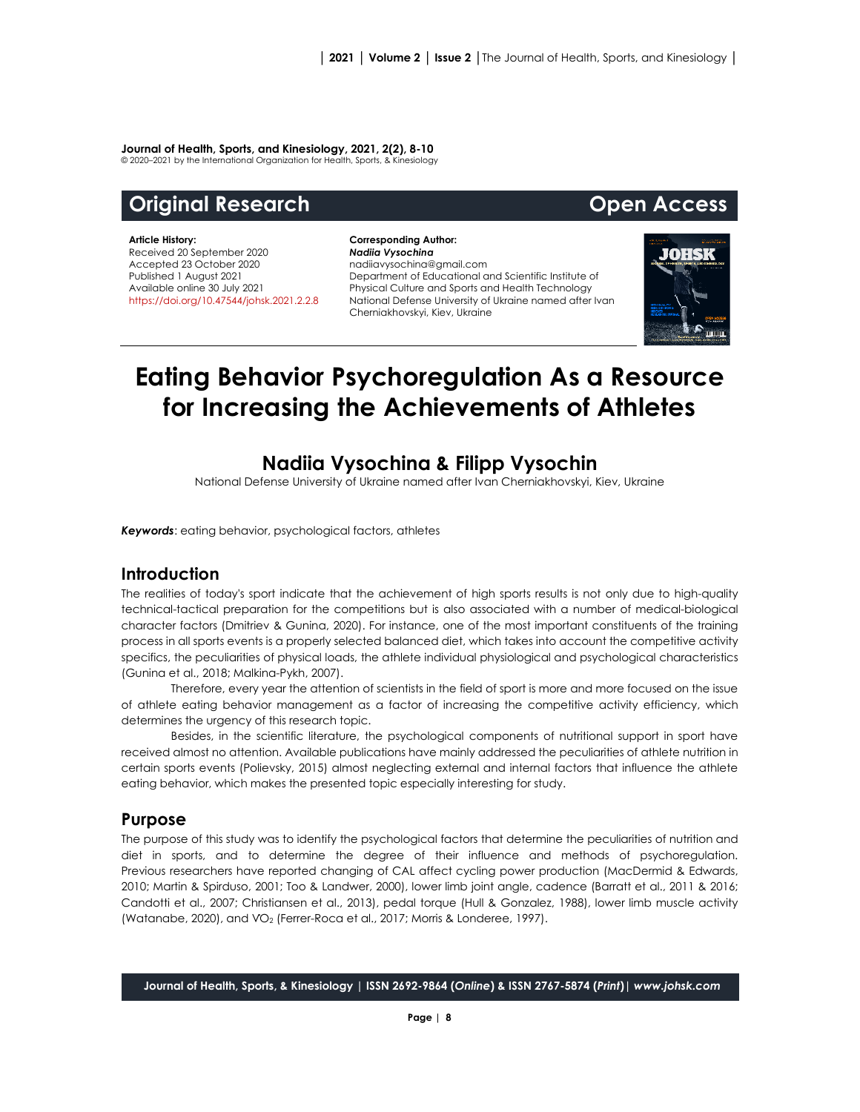#### **Journal of Health, Sports, and Kinesiology, 2021, 2(2), 8-10**

© 2020–2021 by the International Organization for Health, Sports, & Kinesiology

# **Original Research Open Access**

#### **Article History:**

Received 20 September 2020 Accepted 23 October 2020 Published 1 August 2021 Available online 30 July 2021 <https://doi.org/10.47544/johsk.2021.2.2.>8

#### **Corresponding Author:** *Nadiia Vysochina* nadiiavysochina@gmail.com Department of Educational and Scientific Institute of Physical Culture and Sports and Health Technology National Defense University of Ukraine named after Ivan Cherniakhovskyi, Kiev, Ukraine



# **Eating Behavior Psychoregulation As a Resource for Increasing the Achievements of Athletes**

## **Nadiia Vysochina & Filipp Vysochin**

National Defense University of Ukraine named after Ivan Cherniakhovskyi, Kiev, Ukraine

*Keywords*: eating behavior, psychological factors, athletes

#### **Introduction**

The realities of today's sport indicate that the achievement of high sports results is not only due to high-quality technical-tactical preparation for the competitions but is also associated with a number of medical-biological character factors (Dmitriev & Gunina, 2020). For instance, one of the most important constituents of the training process in all sports events is a properly selected balanced diet, which takes into account the competitive activity specifics, the peculiarities of physical loads, the athlete individual physiological and psychological characteristics (Gunina et al., 2018; Malkina-Pykh, 2007).

Therefore, every year the attention of scientists in the field of sport is more and more focused on the issue of athlete eating behavior management as a factor of increasing the competitive activity efficiency, which determines the urgency of this research topic.

Besides, in the scientific literature, the psychological components of nutritional support in sport have received almost no attention. Available publications have mainly addressed the peculiarities of athlete nutrition in certain sports events (Polievsky, 2015) almost neglecting external and internal factors that influence the athlete eating behavior, which makes the presented topic especially interesting for study.

#### **Purpose**

The purpose of this study was to identify the psychological factors that determine the peculiarities of nutrition and diet in sports, and to determine the degree of their influence and methods of psychoregulation. Previous researchers have reported changing of CAL affect cycling power production (MacDermid & Edwards, 2010; Martin & Spirduso, 2001; Too & Landwer, 2000), lower limb joint angle, cadence (Barratt et al., 2011 & 2016; Candotti et al., 2007; Christiansen et al., 2013), pedal torque (Hull & Gonzalez, 1988), lower limb muscle activity (Watanabe, 2020), and VO<sub>2</sub> (Ferrer-Roca et al., 2017; Morris & Londeree, 1997).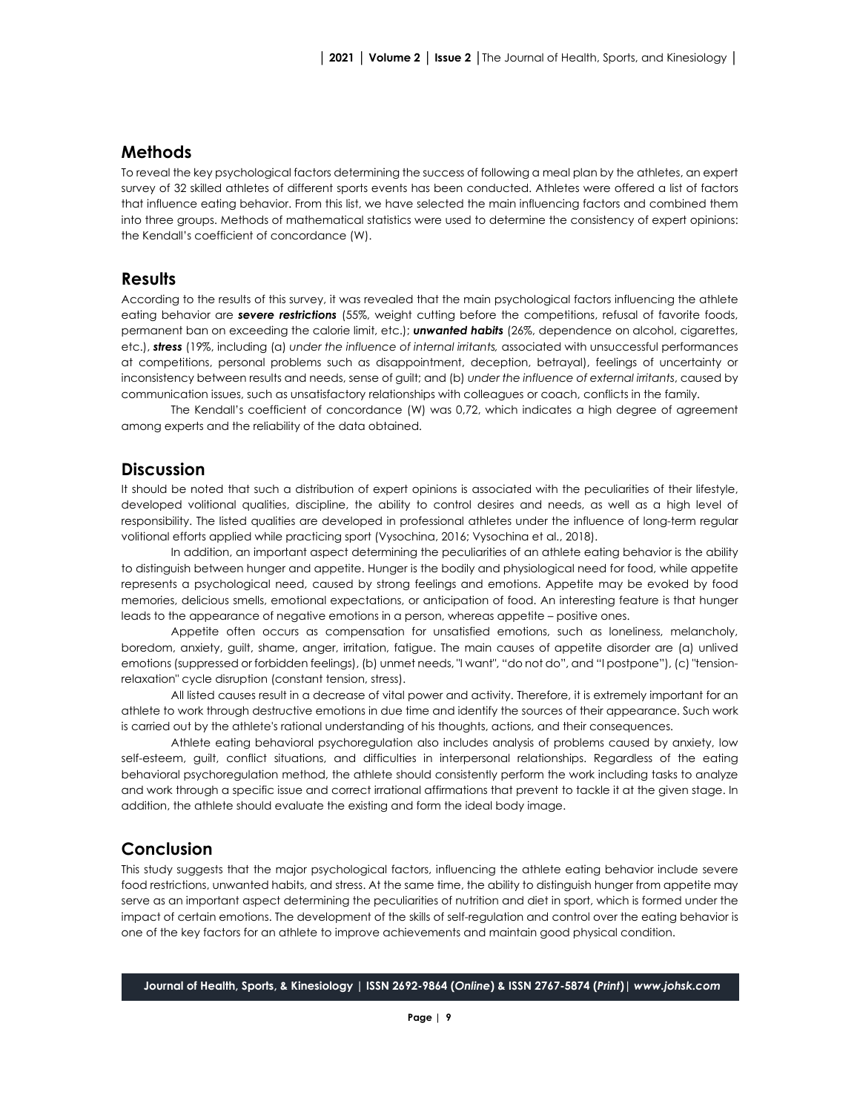### **Methods**

To reveal the key psychological factors determining the success of following a meal plan by the athletes, an expert survey of 32 skilled athletes of different sports events has been conducted. Athletes were offered a list of factors that influence eating behavior. From this list, we have selected the main influencing factors and combined them into three groups. Methods of mathematical statistics were used to determine the consistency of expert opinions: the Kendall's coefficient of concordance (W).

#### **Results**

According to the results of this survey, it was revealed that the main psychological factors influencing the athlete eating behavior are **severe restrictions** (55%, weight cutting before the competitions, refusal of favorite foods, permanent ban on exceeding the calorie limit, etc.); *unwanted habits* (26%, dependence on alcohol, cigarettes, etc.), *stress* (19%, including (a) *under the influence of internal irritants,* associated with unsuccessful performances at competitions, personal problems such as disappointment, deception, betrayal), feelings of uncertainty or inconsistency between results and needs, sense of guilt; and (b) *under the influence of external irritants*, caused by communication issues, such as unsatisfactory relationships with colleagues or coach, conflicts in the family.

The Kendall's coefficient of concordance (W) was 0,72, which indicates a high degree of agreement among experts and the reliability of the data obtained.

#### **Discussion**

It should be noted that such a distribution of expert opinions is associated with the peculiarities of their lifestyle, developed volitional qualities, discipline, the ability to control desires and needs, as well as a high level of responsibility. The listed qualities are developed in professional athletes under the influence of long-term regular volitional efforts applied while practicing sport (Vysochina, 2016; Vysochina et al., 2018).

In addition, an important aspect determining the peculiarities of an athlete eating behavior is the ability to distinguish between hunger and appetite. Hunger is the bodily and physiological need for food, while appetite represents a psychological need, caused by strong feelings and emotions. Appetite may be evoked by food memories, delicious smells, emotional expectations, or anticipation of food. An interesting feature is that hunger leads to the appearance of negative emotions in a person, whereas appetite – positive ones.

Appetite often occurs as compensation for unsatisfied emotions, such as loneliness, melancholy, boredom, anxiety, guilt, shame, anger, irritation, fatigue. The main causes of appetite disorder are (a) unlived emotions (suppressed or forbidden feelings), (b) unmet needs, "I want", "do not do", and "I postpone"), (c) "tensionrelaxation" cycle disruption (constant tension, stress).

All listed causes result in a decrease of vital power and activity. Therefore, it is extremely important for an athlete to work through destructive emotions in due time and identify the sources of their appearance. Such work is carried out by the athlete's rational understanding of his thoughts, actions, and their consequences.

Athlete eating behavioral psychoregulation also includes analysis of problems caused by anxiety, low self-esteem, guilt, conflict situations, and difficulties in interpersonal relationships. Regardless of the eating behavioral psychoregulation method, the athlete should consistently perform the work including tasks to analyze and work through a specific issue and correct irrational affirmations that prevent to tackle it at the given stage. In addition, the athlete should evaluate the existing and form the ideal body image.

#### **Conclusion**

This study suggests that the major psychological factors, influencing the athlete eating behavior include severe food restrictions, unwanted habits, and stress. At the same time, the ability to distinguish hunger from appetite may serve as an important aspect determining the peculiarities of nutrition and diet in sport, which is formed under the impact of certain emotions. The development of the skills of self-regulation and control over the eating behavior is one of the key factors for an athlete to improve achievements and maintain good physical condition.